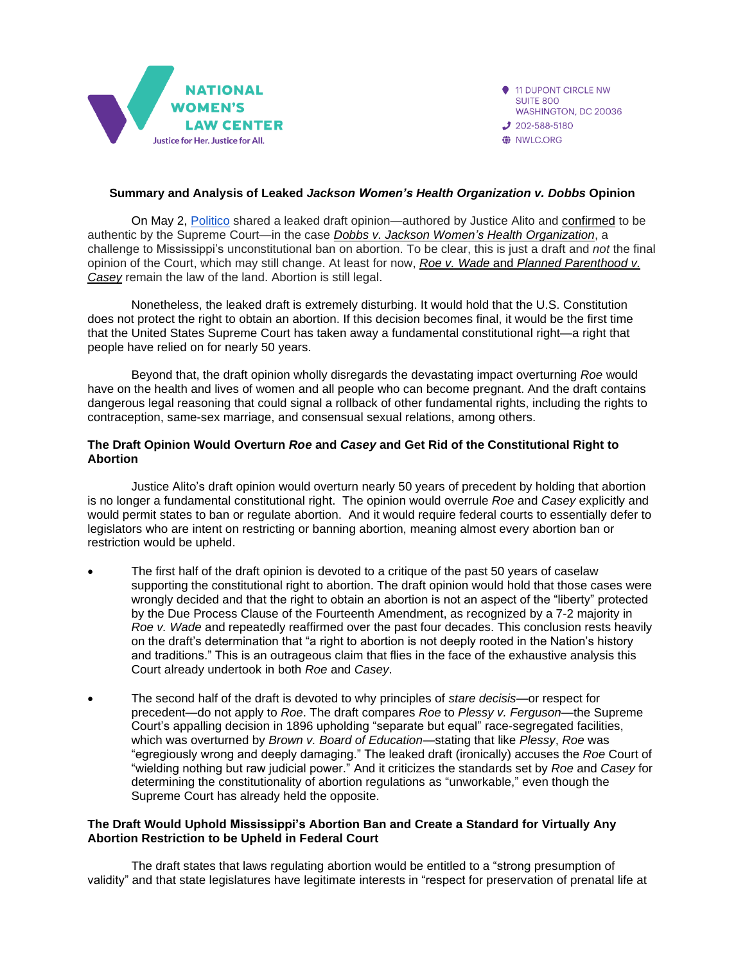

- 11 DUPONT CIRCLE NW **SUITE 800** WASHINGTON, DC 20036  $J$  202-588-5180
- WILC.ORG

# **Summary and Analysis of Leaked** *Jackson Women's Health Organization v. Dobbs* **Opinion**

On May 2, [Politico](https://www.politico.com/news/2022/05/02/supreme-court-abortion-draft-opinion-00029473) shared a leaked draft opinion—authored by Justice Alito and [confirmed](https://www.cnbc.com/2022/05/03/supreme-court-says-leaked-abortion-draft-is-authentic-roberts-orders-investigation-into-leak.html) to be authentic by the Supreme Court—in the case *Dobbs v. Jackson Women's Health [Organization](https://nwlc.org/resource/dobbs-v-jackson-womens-health-whats-at-stake-for-abortion-rights-and-access/)*, a challenge to Mississippi's unconstitutional ban on abortion. To be clear, this is just a draft and *not* the final opinion of the Court, which may still change. At least for now, *Roe v. Wade* and *Planned [Parenthood](https://nwlc.org/resource/roe-v-wade-and-the-right-to-abortion/) v. [Casey](https://nwlc.org/resource/roe-v-wade-and-the-right-to-abortion/)* remain the law of the land. Abortion is still legal.

Nonetheless, the leaked draft is extremely disturbing. It would hold that the U.S. Constitution does not protect the right to obtain an abortion. If this decision becomes final, it would be the first time that the United States Supreme Court has taken away a fundamental constitutional right—a right that people have relied on for nearly 50 years.

Beyond that, the draft opinion wholly disregards the devastating impact overturning *Roe* would have on the health and lives of women and all people who can become pregnant. And the draft contains dangerous legal reasoning that could signal a rollback of other fundamental rights, including the rights to contraception, same-sex marriage, and consensual sexual relations, among others.

# **The Draft Opinion Would Overturn** *Roe* **and** *Casey* **and Get Rid of the Constitutional Right to Abortion**

Justice Alito's draft opinion would overturn nearly 50 years of precedent by holding that abortion is no longer a fundamental constitutional right. The opinion would overrule *Roe* and *Casey* explicitly and would permit states to ban or regulate abortion. And it would require federal courts to essentially defer to legislators who are intent on restricting or banning abortion, meaning almost every abortion ban or restriction would be upheld.

- The first half of the draft opinion is devoted to a critique of the past 50 years of caselaw supporting the constitutional right to abortion. The draft opinion would hold that those cases were wrongly decided and that the right to obtain an abortion is not an aspect of the "liberty" protected by the Due Process Clause of the Fourteenth Amendment, as recognized by a 7-2 majority in *Roe v. Wade* and repeatedly reaffirmed over the past four decades. This conclusion rests heavily on the draft's determination that "a right to abortion is not deeply rooted in the Nation's history and traditions." This is an outrageous claim that flies in the face of the exhaustive analysis this Court already undertook in both *Roe* and *Casey*.
- The second half of the draft is devoted to why principles of *stare decisis*—or respect for precedent—do not apply to *Roe*. The draft compares *Roe* to *Plessy v. Ferguson*—the Supreme Court's appalling decision in 1896 upholding "separate but equal" race-segregated facilities, which was overturned by *Brown v. Board of Education*—stating that like *Plessy*, *Roe* was "egregiously wrong and deeply damaging." The leaked draft (ironically) accuses the *Roe* Court of "wielding nothing but raw judicial power." And it criticizes the standards set by *Roe* and *Casey* for determining the constitutionality of abortion regulations as "unworkable," even though the Supreme Court has already held the opposite.

## **The Draft Would Uphold Mississippi's Abortion Ban and Create a Standard for Virtually Any Abortion Restriction to be Upheld in Federal Court**

The draft states that laws regulating abortion would be entitled to a "strong presumption of validity" and that state legislatures have legitimate interests in "respect for preservation of prenatal life at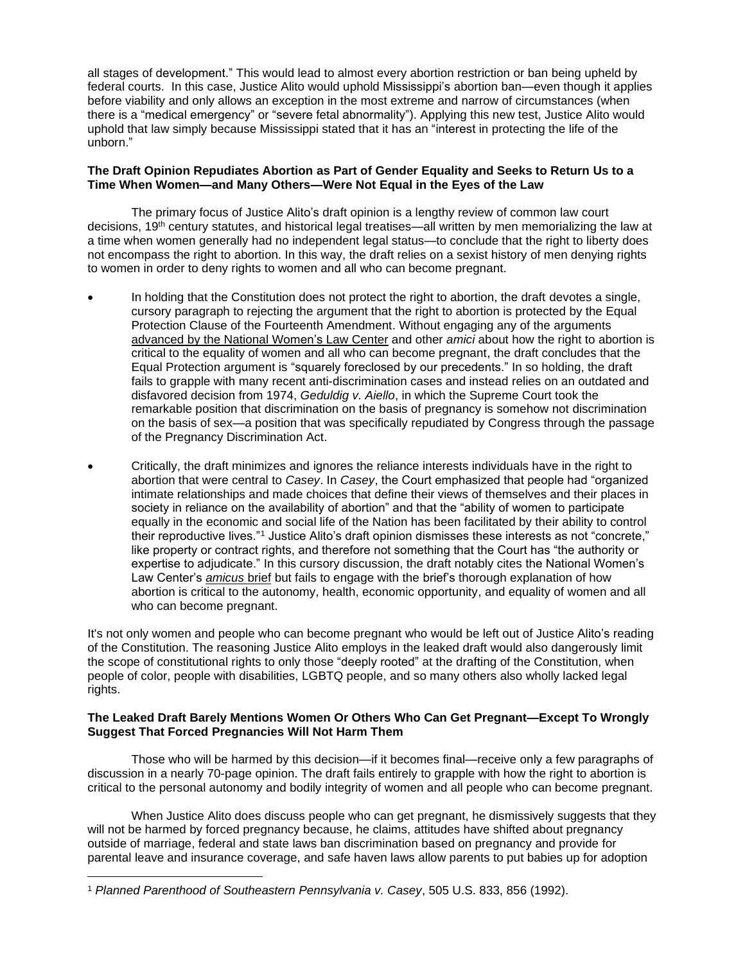all stages of development." This would lead to almost every abortion restriction or ban being upheld by federal courts. In this case, Justice Alito would uphold Mississippi's abortion ban—even though it applies before viability and only allows an exception in the most extreme and narrow of circumstances (when there is a "medical emergency" or "severe fetal abnormality"). Applying this new test, Justice Alito would uphold that law simply because Mississippi stated that it has an "interest in protecting the life of the unborn."

# **The Draft Opinion Repudiates Abortion as Part of Gender Equality and Seeks to Return Us to a Time When Women—and Many Others—Were Not Equal in the Eyes of the Law**

The primary focus of Justice Alito's draft opinion is a lengthy review of common law court decisions, 19th century statutes, and historical legal treatises—all written by men memorializing the law at a time when women generally had no independent legal status—to conclude that the right to liberty does not encompass the right to abortion. In this way, the draft relies on a sexist history of men denying rights to women in order to deny rights to women and all who can become pregnant.

- In holding that the Constitution does not protect the right to abortion, the draft devotes a single, cursory paragraph to rejecting the argument that the right to abortion is protected by the Equal Protection Clause of the Fourteenth Amendment. Without engaging any of the arguments [advanced by the National Women's Law Ce](https://nwlc.org/resource/nwlc-files-amicus-brief-on-behalf-of-72-organizations-in-supreme-court-case-deciding-the-future-of-the-right-to-abortion-2/)nter and other *amici* about how the right to abortion is critical to the equality of women and all who can become pregnant, the draft concludes that the Equal Protection argument is "squarely foreclosed by our precedents." In so holding, the draft fails to grapple with many recent anti-discrimination cases and instead relies on an outdated and disfavored decision from 1974, *Geduldig v. Aiello*, in which the Supreme Court took the remarkable position that discrimination on the basis of pregnancy is somehow not discrimination on the basis of sex—a position that was specifically repudiated by Congress through the passage of the Pregnancy Discrimination Act.
- Critically, the draft minimizes and ignores the reliance interests individuals have in the right to abortion that were central to *Casey*. In *Casey*, the Court emphasized that people had "organized intimate relationships and made choices that define their views of themselves and their places in society in reliance on the availability of abortion" and that the "ability of women to participate equally in the economic and social life of the Nation has been facilitated by their ability to control their reproductive lives."<sup>1</sup> Justice Alito's draft opinion dismisses these interests as not "concrete," like property or contract rights, and therefore not something that the Court has "the authority or expertise to adjudicate." In this cursory discussion, the draft notably cites the National Women's Law Center's *[amicus](https://nwlc.org/resource/nwlc-files-amicus-brief-on-behalf-of-72-organizations-in-supreme-court-case-deciding-the-future-of-the-right-to-abortion-2/)* brief but fails to engage with the brief's thorough explanation of how abortion is critical to the autonomy, health, economic opportunity, and equality of women and all who can become pregnant.

It's not only women and people who can become pregnant who would be left out of Justice Alito's reading of the Constitution. The reasoning Justice Alito employs in the leaked draft would also dangerously limit the scope of constitutional rights to only those "deeply rooted" at the drafting of the Constitution, when people of color, people with disabilities, LGBTQ people, and so many others also wholly lacked legal rights.

## **The Leaked Draft Barely Mentions Women Or Others Who Can Get Pregnant—Except To Wrongly Suggest That Forced Pregnancies Will Not Harm Them**

Those who will be harmed by this decision—if it becomes final—receive only a few paragraphs of discussion in a nearly 70-page opinion. The draft fails entirely to grapple with how the right to abortion is critical to the personal autonomy and bodily integrity of women and all people who can become pregnant.

When Justice Alito does discuss people who can get pregnant, he dismissively suggests that they will not be harmed by forced pregnancy because, he claims, attitudes have shifted about pregnancy outside of marriage, federal and state laws ban discrimination based on pregnancy and provide for parental leave and insurance coverage, and safe haven laws allow parents to put babies up for adoption

<sup>1</sup> *Planned Parenthood of Southeastern Pennsylvania v. Casey*, 505 U.S. 833, 856 (1992).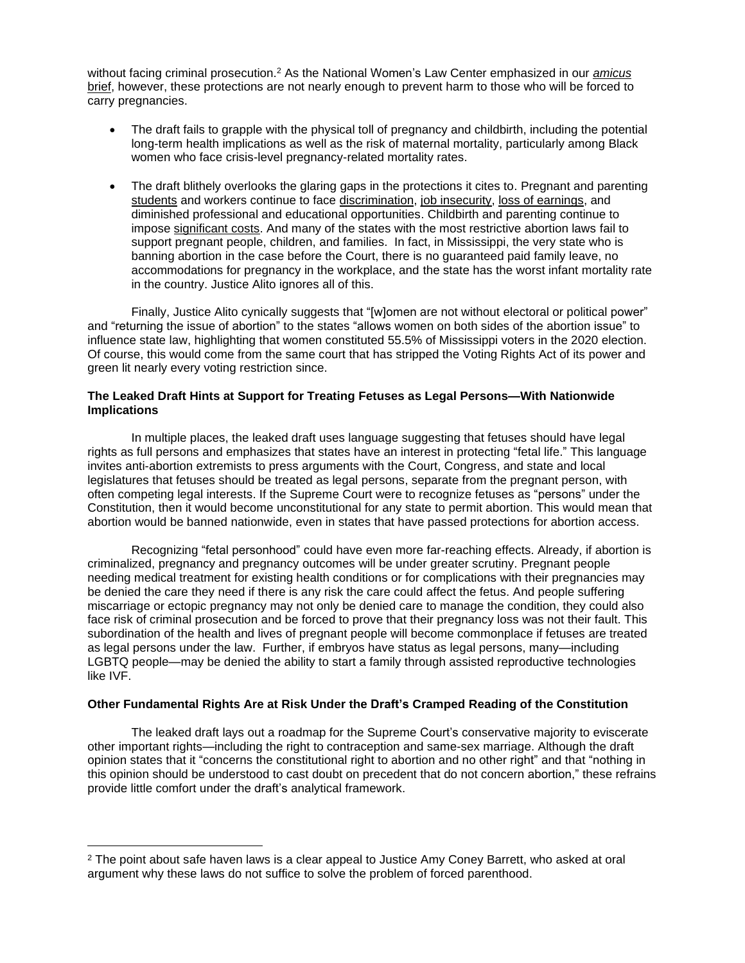without facing criminal prosecution.<sup>2</sup> As the National Women's Law Center emphasized in our *[amicus](https://nwlc.org/resource/nwlc-files-amicus-brief-on-behalf-of-72-organizations-in-supreme-court-case-deciding-the-future-of-the-right-to-abortion-2/)* [brief,](https://nwlc.org/resource/nwlc-files-amicus-brief-on-behalf-of-72-organizations-in-supreme-court-case-deciding-the-future-of-the-right-to-abortion-2/) however, these protections are not nearly enough to prevent harm to those who will be forced to carry pregnancies.

- The draft fails to grapple with the physical toll of pregnancy and childbirth, including the potential long-term health implications as well as the risk of maternal mortality, particularly among Black women who face crisis-level pregnancy-related mortality rates.
- The draft blithely overlooks the glaring gaps in the protections it cites to. Pregnant and parenting [students](https://nwlc.org/resource/stopping-school-pushout-for-girls-who-are-pregnant-or-parenting/) and workers continue to face [discrimination,](https://nwlc.org/resource/fighting-for-fairness-for-pregnant-workers-in-the-states/) [job insecurity,](https://nwlc.org/wp-content/uploads/2021/02/PWFA-Making-Room-for-Pregnancy-v4.2-2021.pdf) [loss of earnings,](https://nwlc.org/resource/motherhood-wage-gap-for-mothers-overall/) and diminished professional and educational opportunities. Childbirth and parenting continue to impose [significant costs.](https://nwlc.org/wp-content/uploads/2021/04/A-Lifetimes-Worth-of-Benefits-_FD.pdf) And many of the states with the most restrictive abortion laws fail to support pregnant people, children, and families. In fact, in Mississippi, the very state who is banning abortion in the case before the Court, there is no guaranteed paid family leave, no accommodations for pregnancy in the workplace, and the state has the worst infant mortality rate in the country. Justice Alito ignores all of this.

Finally, Justice Alito cynically suggests that "[w]omen are not without electoral or political power" and "returning the issue of abortion" to the states "allows women on both sides of the abortion issue" to influence state law, highlighting that women constituted 55.5% of Mississippi voters in the 2020 election. Of course, this would come from the same court that has stripped the Voting Rights Act of its power and green lit nearly every voting restriction since.

## **The Leaked Draft Hints at Support for Treating Fetuses as Legal Persons—With Nationwide Implications**

In multiple places, the leaked draft uses language suggesting that fetuses should have legal rights as full persons and emphasizes that states have an interest in protecting "fetal life." This language invites anti-abortion extremists to press arguments with the Court, Congress, and state and local legislatures that fetuses should be treated as legal persons, separate from the pregnant person, with often competing legal interests. If the Supreme Court were to recognize fetuses as "persons" under the Constitution, then it would become unconstitutional for any state to permit abortion. This would mean that abortion would be banned nationwide, even in states that have passed protections for abortion access.

Recognizing "fetal personhood" could have even more far-reaching effects. Already, if abortion is criminalized, pregnancy and pregnancy outcomes will be under greater scrutiny. Pregnant people needing medical treatment for existing health conditions or for complications with their pregnancies may be denied the care they need if there is any risk the care could affect the fetus. And people suffering miscarriage or ectopic pregnancy may not only be denied care to manage the condition, they could also face risk of criminal prosecution and be forced to prove that their pregnancy loss was not their fault. This subordination of the health and lives of pregnant people will become commonplace if fetuses are treated as legal persons under the law. Further, if embryos have status as legal persons, many—including LGBTQ people—may be denied the ability to start a family through assisted reproductive technologies like IVF.

## **Other Fundamental Rights Are at Risk Under the Draft's Cramped Reading of the Constitution**

The leaked draft lays out a roadmap for the Supreme Court's conservative majority to eviscerate other important rights—including the right to contraception and same-sex marriage. Although the draft opinion states that it "concerns the constitutional right to abortion and no other right" and that "nothing in this opinion should be understood to cast doubt on precedent that do not concern abortion," these refrains provide little comfort under the draft's analytical framework.

<sup>&</sup>lt;sup>2</sup> The point about safe haven laws is a clear appeal to Justice Amy Coney Barrett, who asked at oral argument why these laws do not suffice to solve the problem of forced parenthood.